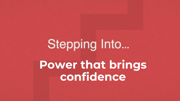# Stepping Into... **Power that brings confidence**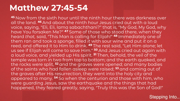### **Matthew 27:45-54**

**<sup>45</sup>** Now from the sixth hour until the ninth hour there was darkness over all the land. **<sup>46</sup>** And about the ninth hour Jesus cried out with a loud voice, saying, "Eli, Eli, lama sabachthani?" that is, "My God, My God, why have You forsaken Me?" **<sup>47</sup>** Some of those who stood there, when they heard *that,* said, "This Man is calling for Elijah!" **<sup>48</sup>** Immediately one of them ran and took a sponge, filled *it* with sour wine and put *it* on a reed, and offered it to Him to drink. **<sup>49</sup>** The rest said, "Let Him alone; let us see if Elijah will come to save Him." **<sup>50</sup>** And Jesus cried out again with a loud voice, and yielded up His spirit. **<sup>51</sup>** Then, behold, the veil of the temple was torn in two from top to bottom; and the earth quaked, and the rocks were split, **<sup>52</sup>** and the graves were opened; and many bodies of the saints who had fallen asleep were raised; **<sup>53</sup>** and coming out of the graves after His resurrection, they went into the holy city and appeared to many. **<sup>54</sup>** So when the centurion and those with him, who were guarding Jesus, saw the earthquake and the things that had happened, they feared greatly, saying, "Truly this was the Son of God!"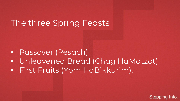# The three Spring Feasts

- Passover (Pesach)
- Unleavened Bread (Chag HaMatzot)
- First Fruits (Yom HaBikkurim).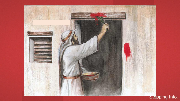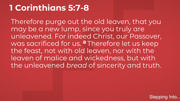# **1 Corinthians 5:7-8**

Therefore purge out the old leaven, that you may be a new lump, since you truly are unleavened. For indeed Christ, our Passover, was sacrificed for us. **<sup>8</sup>** Therefore let us keep the feast, not with old leaven, nor with the leaven of malice and wickedness, but with the unleavened *bread* of sincerity and truth.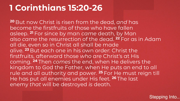# **1 Corinthians 15:20-26**

**<sup>20</sup>** But now Christ is risen from the dead, *and* has become the firstfruits of those who have fallen asleep. **<sup>21</sup>** For since by man *came* death, by Man also *came* the resurrection of the dead. **<sup>22</sup>** For as in Adam all die, even so in Christ all shall be made alive. **<sup>23</sup>** But each one in his own order: Christ the firstfruits, afterward those *who are* Christ's at His coming. **<sup>24</sup>** Then *comes* the end, when He delivers the kingdom to God the Father, when He puts an end to all rule and all authority and power. **<sup>25</sup>** For He must reign till He has put all enemies under His feet. **<sup>26</sup>** The last enemy *that* will be destroyed *is* death.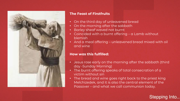

### **The Feast of Firstfruits**

- On the third day of unleavened bread
- On the morning after the sabbath
- Barley sheaf waved not burnt
- Coincided with a burnt offering a Lamb without blemish
- And a meal offering unleavened bread mixed with oil and wine

### **How was this fulfilled:**

- Jesus rose early on the morning after the sabbath (third day -Sunday Morning)
- The burnt offering speaks of total consecration of a victim without sin
- The bread and wine goes right back to the priest king Melchizedek, and it is also the central element of the Passover – and what we call communion today.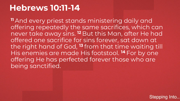### **Hebrews 10:11-14**

**<sup>11</sup>** And every priest stands ministering daily and offering repeatedly the same sacrifices, which can never take away sins. **<sup>12</sup>** But this Man, after He had offered one sacrifice for sins forever, sat down at the right hand of God, **<sup>13</sup>** from that time waiting till His enemies are made His footstool. **<sup>14</sup>** For by one offering He has perfected forever those who are being sanctified.

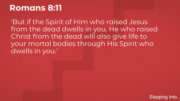### **Romans 8:11**

'But if the Spirit of Him who raised Jesus from the dead dwells in you, He who raised Christ from the dead will also give life to your mortal bodies through His Spirit who dwells in you.'

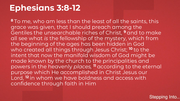# **Ephesians 3:8-12**

**<sup>8</sup>** To me, who am less than the least of all the saints, this grace was given, that I should preach among the Gentiles the unsearchable riches of Christ, **<sup>9</sup>** and to make all see what *is* the fellowship of the mystery, which from the beginning of the ages has been hidden in God who created all things through Jesus Christ; **<sup>10</sup>** to the intent that now the manifold wisdom of God might be made known by the church to the principalities and powers in the heavenly *places,* **<sup>11</sup>** according to the eternal purpose which He accomplished in Christ Jesus our Lord, **<sup>12</sup>** in whom we have boldness and access with confidence through faith in Him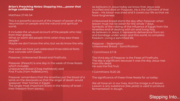### *Brian's Preaching Notes: Stepping into…..power that brings confidence*

### Matthew 27:45-54

This is a powerful account of the impact of power of the resurrection on people and the natural and spiritual world.

- It includes the unusual account of the people who rose from their graves.
- What on earth did people think when they saw these people?
- Maybe we don't know the who, but we do know the why.

This week we have just celebrated three biblical feats that coincide with Easter.

Passover, Unleavened Bread and Firstfruits.

Passover (Pesach) is one day in the week of three feasts which includes: Unleavened Bread (Chag HaMatzot); and First Fruits (Yom HaBikkurim).

Passover remembers that the Israelites put the blood of a lamb on the doorposts so that the angel of death would 'passover' their homes in Egypt. The single most important event in the history of Israel – their freedom from slavery.

As believers in Jesus today we know that Jesus was crucified and died on Passover, He is the fulfilment of that feast – His blood was shed and it covers our life so that we have forgiveness.

Unleavened bread starts the day after Passover when leaven must not be eaten for the whole 7 days. Symbolic of the ridding of the influence of Egypt from the Israelites and of dealing with sin and living holy. As believers in Jesus, it represents deliverance from sin and bondage under satan and this world, to complete freedom. Living a sanctified life.

Passover – Redemption Unleavened Bread – Sanctification

1 Corinthians 5:7-8

The third day of Passover is the Feast of Firstfruits. The day is significant because it was the day Jesus rose from the dead. He was the first fruit.

1 Corinthians 15:20-26

The significance of these three feasts for us today:

We all have sin in our lives. And the image is of leaven. Leaven is any substance (like yeast) is used to produce fermentation in dough.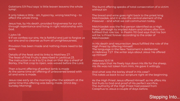Galatians 5:9 Paul says 'a little leaven leavens the whole lump'.

It only takes a little – sin, hypocrisy, wrong teaching – to affect the whole thing.

Jesus has, by His death, provided forgiveness for our sin, through repentance and living in right relationship with God.

### 1 John 1:9

9 If we confess our sins, He is faithful and just to forgive us our sins and to cleanse us from all unrighteousness.

Provision has been made and nothing more need to be done.

Details of the feast and its links to Matthew 27: The feast of First Fruits is described in Leviticus 23. The instruction in vs 9 to 12 is that on that day a sheaf of Barley, the first crop to ripen, was waved before the Lord.

Then a burnt offering of perfect lamb is made At the same time an offering of unleavened bread with oil and wine is made.

Jesus rose early on the morning after the sabbath at the same time this offering was being made. (third day - Sunday Morning)

The burnt offering speaks of total consecration of a victim without sin

The bread and wine goes right back to the priest king Melchizedek, and it is also the central element of the Passover – and what we call communion today.

Melchizedek was the first person identified as a High Priest, although its implied Adam and others after him fulfilled that role too. In Psalm 110 God says that his Son will be 'a Priest forever according to the order of Melchizedek'.

In His death and resurrection Jesus fulfilled the role of the High Priest by offering Himself. The language in the New Testament is deliberate: In Hebrews 7:27 the writer says about Jesus 'He offered up Himself'

Hebrews 10:11-14

Jesus says that He freely lays down His life for the sheep. His life was not taken from Him, He gave it willingly.

And what was the barley sheaf in His case? This takes us back to our scripture right at the beginning.

As the High Priest Jesus offered Himself, so He offers His first fruits to God and proof of His perfect sacrifice. The authority of the High Priest had passed from Caiaphus to Jesus a couple of days before.